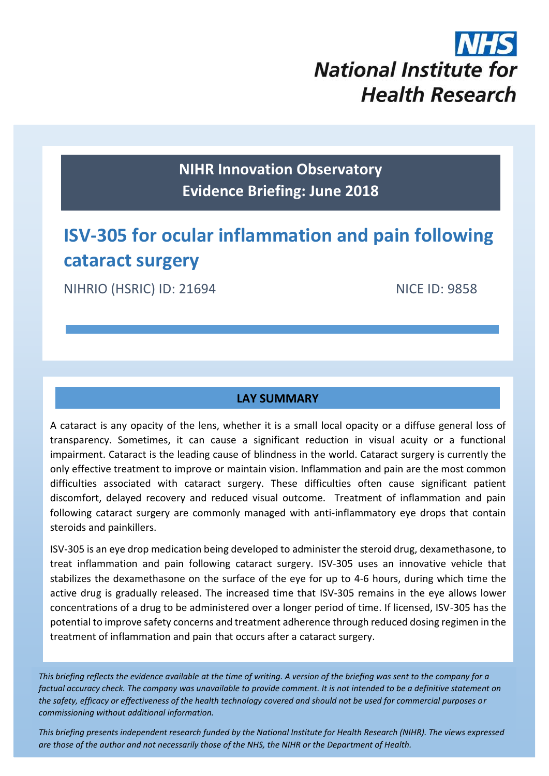# **National Institute for Health Research**

**NIHR Innovation Observatory Evidence Briefing: June 2018**

# **ISV-305 for ocular inflammation and pain following cataract surgery**

NIHRIO (HSRIC) ID: 21694 NICE ID: 9858

## **LAY SUMMARY**

A cataract is any opacity of the lens, whether it is a small local opacity or a diffuse general loss of transparency. Sometimes, it can cause a significant reduction in visual acuity or a functional impairment. Cataract is the leading cause of blindness in the world. Cataract surgery is currently the only effective treatment to improve or maintain vision. Inflammation and pain are the most common difficulties associated with cataract surgery. These difficulties often cause significant patient discomfort, delayed recovery and reduced visual outcome. Treatment of inflammation and pain following cataract surgery are commonly managed with anti-inflammatory eye drops that contain steroids and painkillers.

ISV-305 is an eye drop medication being developed to administer the steroid drug, dexamethasone, to treat inflammation and pain following cataract surgery. ISV-305 uses an innovative vehicle that stabilizes the dexamethasone on the surface of the eye for up to 4-6 hours, during which time the active drug is gradually released. The increased time that ISV-305 remains in the eye allows lower concentrations of a drug to be administered over a longer period of time. If licensed, ISV-305 has the potential to improve safety concerns and treatment adherence through reduced dosing regimen in the treatment of inflammation and pain that occurs after a cataract surgery.

*This briefing reflects the evidence available at the time of writing. A version of the briefing was sent to the company for a factual accuracy check. The company was unavailable to provide comment. It is not intended to be a definitive statement on the safety, efficacy or effectiveness of the health technology covered and should not be used for commercial purposes or commissioning without additional information.*

1 *This briefing presents independent research funded by the National Institute for Health Research (NIHR). The views expressed are those of the author and not necessarily those of the NHS, the NIHR or the Department of Health.*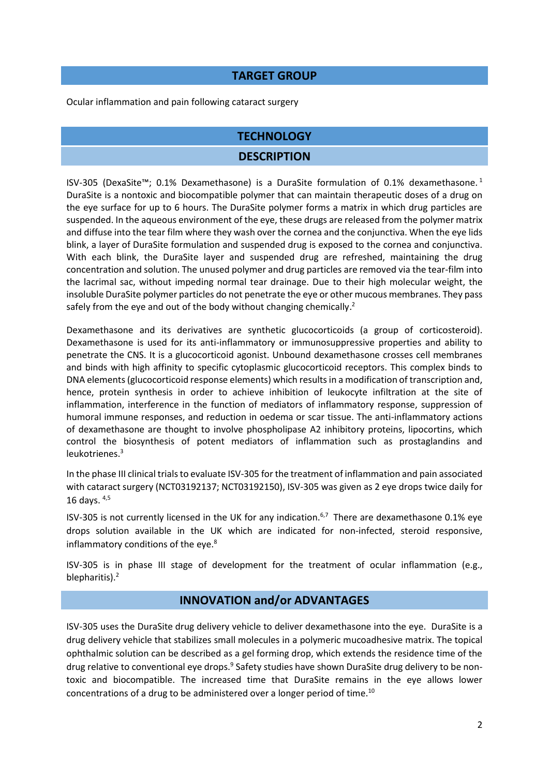#### **TARGET GROUP**

Ocular inflammation and pain following cataract surgery

#### **TECHNOLOGY**

#### <span id="page-1-0"></span>**DESCRIPTION**

ISV-305 (DexaSite™; 0.1% Dexamethasone) is a DuraSite formulation of 0.1% dexamethasone. 1 DuraSite is a nontoxic and biocompatible polymer that can maintain therapeutic doses of a drug on the eye surface for up to 6 hours. The DuraSite polymer forms a matrix in which drug particles are suspended. In the aqueous environment of the eye, these drugs are released from the polymer matrix and diffuse into the tear film where they wash over the cornea and the conjunctiva. When the eye lids blink, a layer of DuraSite formulation and suspended drug is exposed to the cornea and conjunctiva. With each blink, the DuraSite layer and suspended drug are refreshed, maintaining the drug concentration and solution. The unused polymer and drug particles are removed via the tear-film into the lacrimal sac, without impeding normal tear drainage. Due to their high molecular weight, the insoluble DuraSite polymer particles do not penetrate the eye or other mucous membranes. They pass safely from the eye and out of the body without changing chemically.<sup>2</sup>

Dexamethasone and its derivatives are synthetic glucocorticoids (a group of corticosteroid). Dexamethasone is used for its anti-inflammatory or immunosuppressive properties and ability to penetrate the CNS. It is a glucocorticoid agonist. Unbound dexamethasone crosses cell membranes and binds with high affinity to specific cytoplasmic glucocorticoid receptors. This complex binds to DNA elements (glucocorticoid response elements) which results in a modification of transcription and, hence, protein synthesis in order to achieve inhibition of leukocyte infiltration at the site of inflammation, interference in the function of mediators of inflammatory response, suppression of humoral immune responses, and reduction in oedema or scar tissue. The anti-inflammatory actions of dexamethasone are thought to involve phospholipase A2 inhibitory proteins, lipocortins, which control the biosynthesis of potent mediators of inflammation such as prostaglandins and leukotrienes.<sup>3</sup>

In the phase III clinical trials to evaluate ISV-305 for the treatment of inflammation and pain associated with cataract surgery (NCT03192137; NCT03192150), ISV-305 was given as 2 eye drops twice daily for 16 days. 4,5

<span id="page-1-2"></span><span id="page-1-1"></span>ISV-305 is not currently licensed in the UK for any indication.<sup>6,7</sup> There are dexamethasone 0.1% eye drops solution available in the UK which are indicated for non-infected, steroid responsive, inflammatory conditions of the eye.<sup>8</sup>

ISV-305 is in phase III stage of development for the treatment of ocular inflammation (e.g., blepharitis)[.](#page-1-0)<sup>2</sup>

#### **INNOVATION and/or ADVANTAGES**

ISV-305 uses the DuraSite drug delivery vehicle to deliver dexamethasone into the eye. DuraSite is a drug delivery vehicle that stabilizes small molecules in a polymeric mucoadhesive matrix. The topical ophthalmic solution can be described as a gel forming drop, which extends the residence time of the drug relative to conventional eye drops.<sup>9</sup> Safety studies have shown DuraSite drug delivery to be nontoxic and biocompatible. The increased time that DuraSite remains in the eye allows lower concentrations of a drug to be administered over a longer period of time.10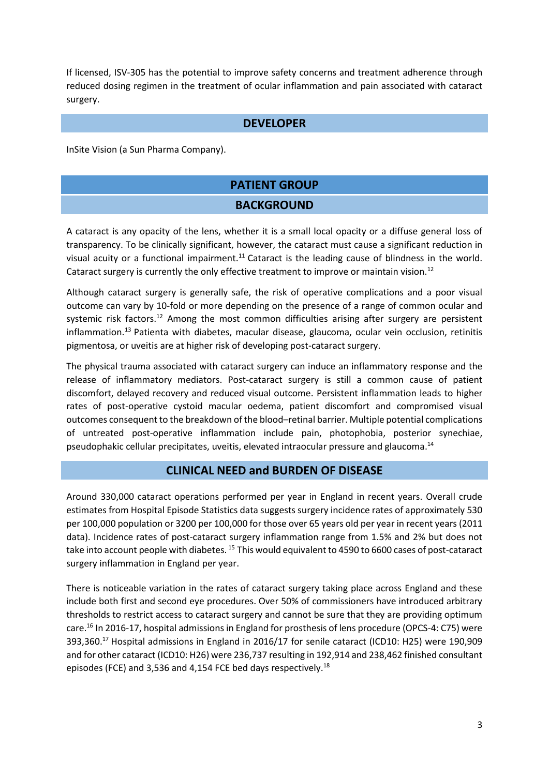If licensed, ISV-305 has the potential to improve safety concerns and treatment adherence through reduced dosing regimen in the treatment of ocular inflammation and pain associated with cataract surgery.

#### **DEVELOPER**

InSite Vision (a Sun Pharma Company).

#### **PATIENT GROUP**

#### <span id="page-2-2"></span><span id="page-2-0"></span>**BACKGROUND**

A cataract is any opacity of the lens, whether it is a small local opacity or a diffuse general loss of transparency. To be clinically significant, however, the cataract must cause a significant reduction in visual acuity or a functional impairment.<sup>11</sup> Cataract is the leading cause of blindness in the world. Cataract surgery is currently the only effective treatment to improve or maintain vision.<sup>12</sup>

Although cataract surgery is generally safe, the risk of operative complications and a poor visual outcome can vary by 10-fold or more depending on the presence of a range of common ocular and systemic risk factors.<sup>[12](#page-2-0)</sup> Among the most common difficulties arising after surgery are persistent inflammation.<sup>13</sup> Patienta with diabetes, macular disease, glaucoma, ocular vein occlusion, retinitis pigmentosa, or uveitis are at higher risk of developing post-cataract surgery.

The physical trauma associated with cataract surgery can induce an inflammatory response and the release of inflammatory mediators. Post-cataract surgery is still a common cause of patient discomfort, delayed recovery and reduced visual outcome. Persistent inflammation leads to higher rates of post-operative cystoid macular oedema, patient discomfort and compromised visual outcomes consequent to the breakdown of the blood–retinal barrier. Multiple potential complications of untreated post-operative inflammation include pain, photophobia, posterior synechiae, pseudophakic cellular precipitates, uveitis, elevated intraocular pressure and glaucoma.<sup>14</sup>

#### <span id="page-2-3"></span><span id="page-2-1"></span>**CLINICAL NEED and BURDEN OF DISEASE**

Around 330,000 cataract operations performed per year in England in recent years. Overall crude estimates from Hospital Episode Statistics data suggests surgery incidence rates of approximately 530 per 100,000 population or 3200 per 100,000 for those over 65 years old per year in recent years (2011 data). Incidence rates of post-cataract surgery inflammation range from 1.5% and 2% but does not take into account people with diabetes. <sup>15</sup> This would equivalent to 4590 to 6600 cases of post-cataract surgery inflammation in England per year.

There is noticeable variation in the rates of cataract surgery taking place across England and these include both first and second eye procedures. Over 50% of commissioners have introduced arbitrary thresholds to restrict access to cataract surgery and cannot be sure that they are providing optimum care.<sup>16</sup> In 2016-17, hospital admissions in England for prosthesis of lens procedure (OPCS-4: C75) were 393,360.<sup>17</sup> Hospital admissions in England in 2016/17 for senile cataract (ICD10: H25) were 190,909 and for other cataract (ICD10: H26) were 236,737 resulting in 192,914 and 238,462 finished consultant episodes (FCE) and 3,536 and 4,154 FCE bed days respectively.<sup>18</sup>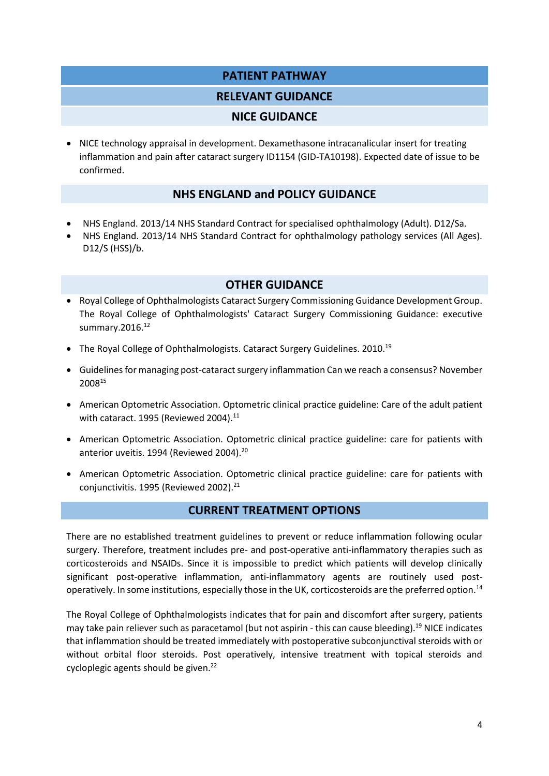#### **PATIENT PATHWAY**

#### **RELEVANT GUIDANCE**

#### **NICE GUIDANCE**

 NICE technology appraisal in development. Dexamethasone intracanalicular insert for treating inflammation and pain after cataract surgery ID1154 (GID-TA10198). Expected date of issue to be confirmed.

#### **NHS ENGLAND and POLICY GUIDANCE**

- NHS England. 2013/14 NHS Standard Contract for specialised ophthalmology (Adult). D12/Sa.
- NHS England. 2013/14 NHS Standard Contract for ophthalmology pathology services (All Ages). D12/S (HSS)/b.

#### <span id="page-3-0"></span>**OTHER GUIDANCE**

- Royal College of Ophthalmologists Cataract Surgery Commissioning Guidance Development Group. The Royal College of Ophthalmologists' Cataract Surgery Commissioning Guidance: executive summary.2016.<sup>[12](#page-2-0)</sup>
- The Royal College of Ophthalmologists. Cataract Surgery Guidelines. 2010.<sup>19</sup>
- Guidelines for managing post-cataract surgery inflammation Can we reach a consensus? November 2008[15](#page-2-1)
- American Optometric Association. Optometric clinical practice guideline: Care of the adult patient with cataract. 1995 (Reviewed 2004).<sup>[11](#page-2-2)</sup>
- American Optometric Association. Optometric clinical practice guideline: care for patients with anterior uveitis. 1994 (Reviewed 2004).<sup>20</sup>
- American Optometric Association. Optometric clinical practice guideline: care for patients with conjunctivitis. 1995 (Reviewed 2002).<sup>21</sup>

#### **CURRENT TREATMENT OPTIONS**

There are no established treatment guidelines to prevent or reduce inflammation following ocular surgery. Therefore, treatment includes pre- and post-operative anti-inflammatory therapies such as corticosteroids and NSAIDs. Since it is impossible to predict which patients will develop clinically significant post-operative inflammation, anti-inflammatory agents are routinely used post-operatively. In some institutions, especially those in the UK, corticosteroids are the preferred option.<sup>[14](#page-2-3)</sup>

The Royal College of Ophthalmologists indicates that for pain and discomfort after surgery, patients may take pain reliever such as paracetamol (but not aspirin - this can cause bleeding).[19](#page-3-0) NICE indicates that inflammation should be treated immediately with postoperative subconjunctival steroids with or without orbital floor steroids. Post operatively, intensive treatment with topical steroids and cycloplegic agents should be given.<sup>22</sup>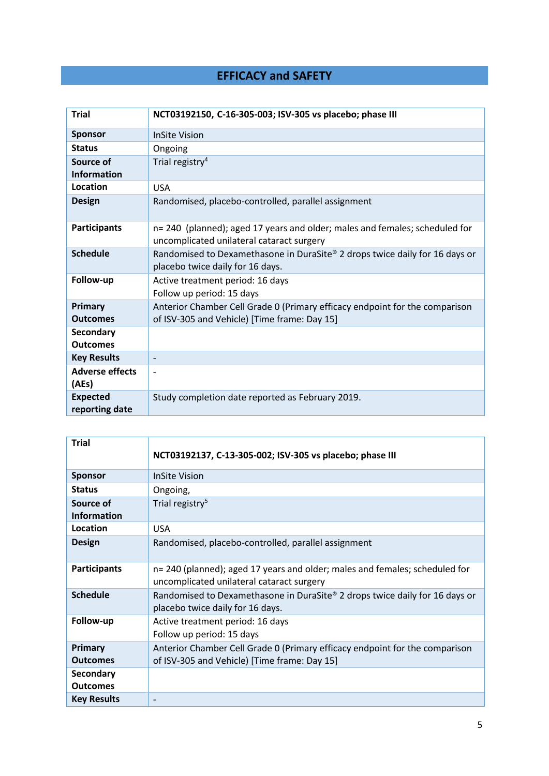# **EFFICACY and SAFETY**

| <b>Trial</b>                        | NCT03192150, C-16-305-003; ISV-305 vs placebo; phase III                                                                    |  |  |  |
|-------------------------------------|-----------------------------------------------------------------------------------------------------------------------------|--|--|--|
| <b>Sponsor</b>                      | <b>InSite Vision</b>                                                                                                        |  |  |  |
| <b>Status</b>                       | Ongoing                                                                                                                     |  |  |  |
| Source of<br><b>Information</b>     | Trial registry <sup>4</sup>                                                                                                 |  |  |  |
| Location                            | <b>USA</b>                                                                                                                  |  |  |  |
| <b>Design</b>                       | Randomised, placebo-controlled, parallel assignment                                                                         |  |  |  |
| <b>Participants</b>                 | n= 240 (planned); aged 17 years and older; males and females; scheduled for<br>uncomplicated unilateral cataract surgery    |  |  |  |
| <b>Schedule</b>                     | Randomised to Dexamethasone in DuraSite® 2 drops twice daily for 16 days or<br>placebo twice daily for 16 days.             |  |  |  |
| Follow-up                           | Active treatment period: 16 days<br>Follow up period: 15 days                                                               |  |  |  |
| Primary<br><b>Outcomes</b>          | Anterior Chamber Cell Grade 0 (Primary efficacy endpoint for the comparison<br>of ISV-305 and Vehicle) [Time frame: Day 15] |  |  |  |
| <b>Secondary</b><br><b>Outcomes</b> |                                                                                                                             |  |  |  |
| <b>Key Results</b>                  | $\overline{\phantom{a}}$                                                                                                    |  |  |  |
| <b>Adverse effects</b><br>(AEs)     |                                                                                                                             |  |  |  |
| <b>Expected</b><br>reporting date   | Study completion date reported as February 2019.                                                                            |  |  |  |

| <b>Trial</b>        |                                                                                                                          |  |  |
|---------------------|--------------------------------------------------------------------------------------------------------------------------|--|--|
|                     | NCT03192137, C-13-305-002; ISV-305 vs placebo; phase III                                                                 |  |  |
| <b>Sponsor</b>      | <b>InSite Vision</b>                                                                                                     |  |  |
| <b>Status</b>       | Ongoing,                                                                                                                 |  |  |
| Source of           | Trial registry <sup>5</sup>                                                                                              |  |  |
| <b>Information</b>  |                                                                                                                          |  |  |
| Location            | <b>USA</b>                                                                                                               |  |  |
| <b>Design</b>       | Randomised, placebo-controlled, parallel assignment                                                                      |  |  |
| <b>Participants</b> | n= 240 (planned); aged 17 years and older; males and females; scheduled for<br>uncomplicated unilateral cataract surgery |  |  |
| <b>Schedule</b>     | Randomised to Dexamethasone in DuraSite® 2 drops twice daily for 16 days or<br>placebo twice daily for 16 days.          |  |  |
| Follow-up           | Active treatment period: 16 days<br>Follow up period: 15 days                                                            |  |  |
| Primary             | Anterior Chamber Cell Grade 0 (Primary efficacy endpoint for the comparison                                              |  |  |
| <b>Outcomes</b>     | of ISV-305 and Vehicle) [Time frame: Day 15]                                                                             |  |  |
| Secondary           |                                                                                                                          |  |  |
| <b>Outcomes</b>     |                                                                                                                          |  |  |
| <b>Key Results</b>  |                                                                                                                          |  |  |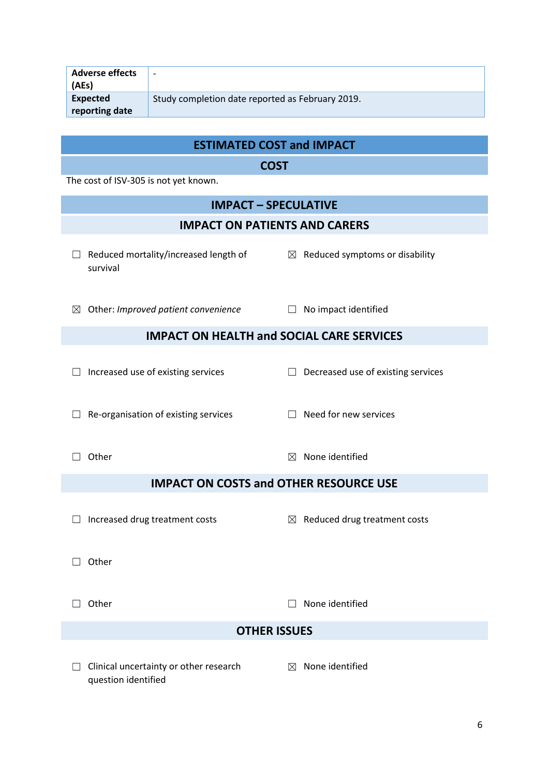| Adverse effects<br>(AEs)   | $\overline{\phantom{0}}$                         |
|----------------------------|--------------------------------------------------|
| Expected<br>reporting date | Study completion date reported as February 2019. |

## **ESTIMATED COST and IMPACT**

**COST**

The cost of ISV-305 is not yet known.

|                                                  | <b>IMPACT - SPECULATIVE</b>                                   |             |                                            |  |  |  |  |  |
|--------------------------------------------------|---------------------------------------------------------------|-------------|--------------------------------------------|--|--|--|--|--|
| <b>IMPACT ON PATIENTS AND CARERS</b>             |                                                               |             |                                            |  |  |  |  |  |
| ш                                                | Reduced mortality/increased length of<br>survival             |             | $\boxtimes$ Reduced symptoms or disability |  |  |  |  |  |
| ⊠                                                | Other: Improved patient convenience                           | $\perp$     | No impact identified                       |  |  |  |  |  |
| <b>IMPACT ON HEALTH and SOCIAL CARE SERVICES</b> |                                                               |             |                                            |  |  |  |  |  |
|                                                  | Increased use of existing services                            | $\Box$      | Decreased use of existing services         |  |  |  |  |  |
|                                                  | Re-organisation of existing services                          |             | Need for new services                      |  |  |  |  |  |
|                                                  | Other                                                         | $\boxtimes$ | None identified                            |  |  |  |  |  |
| <b>IMPACT ON COSTS and OTHER RESOURCE USE</b>    |                                                               |             |                                            |  |  |  |  |  |
|                                                  | Increased drug treatment costs                                |             | $\boxtimes$ Reduced drug treatment costs   |  |  |  |  |  |
|                                                  | Other                                                         |             |                                            |  |  |  |  |  |
|                                                  | Other                                                         |             | None identified                            |  |  |  |  |  |
| <b>OTHER ISSUES</b>                              |                                                               |             |                                            |  |  |  |  |  |
| $\vert \ \ \vert$                                | Clinical uncertainty or other research<br>question identified | $\boxtimes$ | None identified                            |  |  |  |  |  |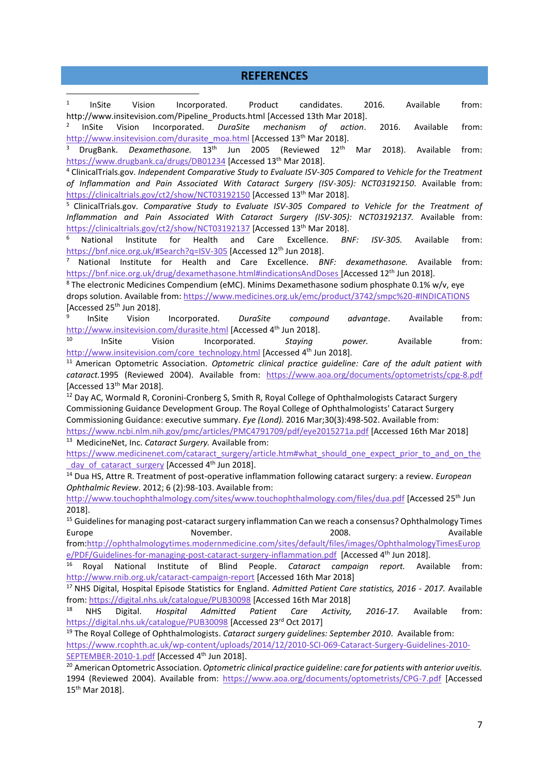#### **REFERENCES**

1 InSite Vision Incorporated. Product candidates. 2016. Available from: http://www.insitevision.com/Pipeline\_Products.html [Accessed 13th Mar 2018].

2 InSite Vision Incorporated. *DuraSite mechanism of action*. 2016. Available from: [http://www.insitevision.com/durasite\\_moa.html](http://www.insitevision.com/durasite_moa.html) [Accessed 13<sup>th</sup> Mar 2018].

<sup>3</sup> DrugBank. *Dexamethasone.* 13th Jun 2005 (Reviewed 12th Mar 2018). Available from: <https://www.drugbank.ca/drugs/DB01234> [Accessed 13<sup>th</sup> Mar 2018].

<sup>4</sup> ClinicalTrials.gov. *Independent Comparative Study to Evaluate ISV-305 Compared to Vehicle for the Treatment of Inflammation and Pain Associated With Cataract Surgery (ISV-305): NCT03192150*. Available from: <https://clinicaltrials.gov/ct2/show/NCT03192150> [Accessed 13<sup>th</sup> Mar 2018].

<sup>5</sup> ClinicalTrials.gov. *Comparative Study to Evaluate ISV-305 Compared to Vehicle for the Treatment of Inflammation and Pain Associated With Cataract Surgery (ISV-305): NCT03192137.* Available from: <https://clinicaltrials.gov/ct2/show/NCT03192137> [Accessed 13<sup>th</sup> Mar 2018].

<sup>6</sup> National Institute for Health and Care Excellence. *BNF: ISV-305.* Available from: <https://bnf.nice.org.uk/#Search?q=ISV-305> [Accessed 12<sup>th</sup> Jun 2018].

<sup>7</sup> National Institute for Health and Care Excellence. *BNF: dexamethasone.* Available from: <https://bnf.nice.org.uk/drug/dexamethasone.html#indicationsAndDoses> [Accessed 12<sup>th</sup> Jun 2018].

<sup>8</sup> The electronic Medicines Compendium (eMC). Minims Dexamethasone sodium phosphate 0.1% w/v, eye drops solution. Available from:<https://www.medicines.org.uk/emc/product/3742/smpc%20-#INDICATIONS> [Accessed  $25<sup>th</sup>$  Jun 2018].

9 InSite Vision Incorporated. *DuraSite compound advantage*. Available from: <http://www.insitevision.com/durasite.html> [Accessed 4<sup>th</sup> Jun 2018].

<sup>10</sup> InSite Vision Incorporated. *Staying power.* Available from: [http://www.insitevision.com/core\\_technology.html](http://www.insitevision.com/core_technology.html) [Accessed 4<sup>th</sup> Jun 2018].

<sup>11</sup> American Optometric Association. *Optometric clinical practice guideline: Care of the adult patient with cataract.*1995 (Reviewed 2004). Available from: <https://www.aoa.org/documents/optometrists/cpg-8.pdf> [Accessed  $13<sup>th</sup>$  Mar 2018].

<sup>12</sup> Day AC, Wormald R, Coronini-Cronberg S, Smith R, Royal College of Ophthalmologists Cataract Surgery Commissioning Guidance Development Group. The Royal College of Ophthalmologists' Cataract Surgery Commissioning Guidance: executive summary. *Eye (Lond).* 2016 Mar;30(3):498-502. Available from: <https://www.ncbi.nlm.nih.gov/pmc/articles/PMC4791709/pdf/eye2015271a.pdf> [Accessed 16th Mar 2018]

<sup>13</sup> MedicineNet, Inc. *Cataract Surgery.* Available from:

1

[https://www.medicinenet.com/cataract\\_surgery/article.htm#what\\_should\\_one\\_expect\\_prior\\_to\\_and\\_on\\_the](https://www.medicinenet.com/cataract_surgery/article.htm#what_should_one_expect_prior_to_and_on_the_day_of_cataract_surgery) day of cataract surgery [Accessed 4<sup>th</sup> Jun 2018].

<sup>14</sup> Dua HS, Attre R. Treatment of post-operative inflammation following cataract surgery: a review. *European Ophthalmic Review*. 2012; 6 (2):98-103. Available from:

<http://www.touchophthalmology.com/sites/www.touchophthalmology.com/files/dua.pdf> [Accessed 25th Jun 2018].

<sup>15</sup> Guidelines for managing post-cataract surgery inflammation Can we reach a consensus? Ophthalmology Times Europe November. 2008. Available

from[:http://ophthalmologytimes.modernmedicine.com/sites/default/files/images/OphthalmologyTimesEurop](http://ophthalmologytimes.modernmedicine.com/sites/default/files/images/OphthalmologyTimesEurope/PDF/Guidelines-for-managing-post-cataract-surgery-inflammation.pdf) [e/PDF/Guidelines-for-managing-post-cataract-surgery-inflammation.pdf](http://ophthalmologytimes.modernmedicine.com/sites/default/files/images/OphthalmologyTimesEurope/PDF/Guidelines-for-managing-post-cataract-surgery-inflammation.pdf) [Accessed 4<sup>th</sup> Jun 2018].

<sup>16</sup> Royal National Institute of Blind People. *Cataract campaign report.* Available from: <http://www.rnib.org.uk/cataract-campaign-report> [Accessed 16th Mar 2018]

<sup>17</sup> NHS Digital, Hospital Episode Statistics for England. *Admitted Patient Care statistics, 2016 - 2017.* Available from: <https://digital.nhs.uk/catalogue/PUB30098> [Accessed 16th Mar 2018]

<sup>18</sup> NHS Digital. *Hospital Admitted Patient Care Activity, 2016-17.* Available from: <https://digital.nhs.uk/catalogue/PUB30098> [Accessed 23rd Oct 2017]

<sup>19</sup> The Royal College of Ophthalmologists. *Cataract surgery guidelines: September 2010*. Available from:

[https://www.rcophth.ac.uk/wp-content/uploads/2014/12/2010-SCI-069-Cataract-Surgery-Guidelines-2010-](https://www.rcophth.ac.uk/wp-content/uploads/2014/12/2010-SCI-069-Cataract-Surgery-Guidelines-2010-SEPTEMBER-2010-1.pdf) [SEPTEMBER-2010-1.pdf](https://www.rcophth.ac.uk/wp-content/uploads/2014/12/2010-SCI-069-Cataract-Surgery-Guidelines-2010-SEPTEMBER-2010-1.pdf) [Accessed 4<sup>th</sup> Jun 2018].

<sup>20</sup> American Optometric Association. *Optometric clinical practice guideline: care for patients with anterior uveitis.*  1994 (Reviewed 2004). Available from: <https://www.aoa.org/documents/optometrists/CPG-7.pdf> [Accessed 15 th Mar 2018].